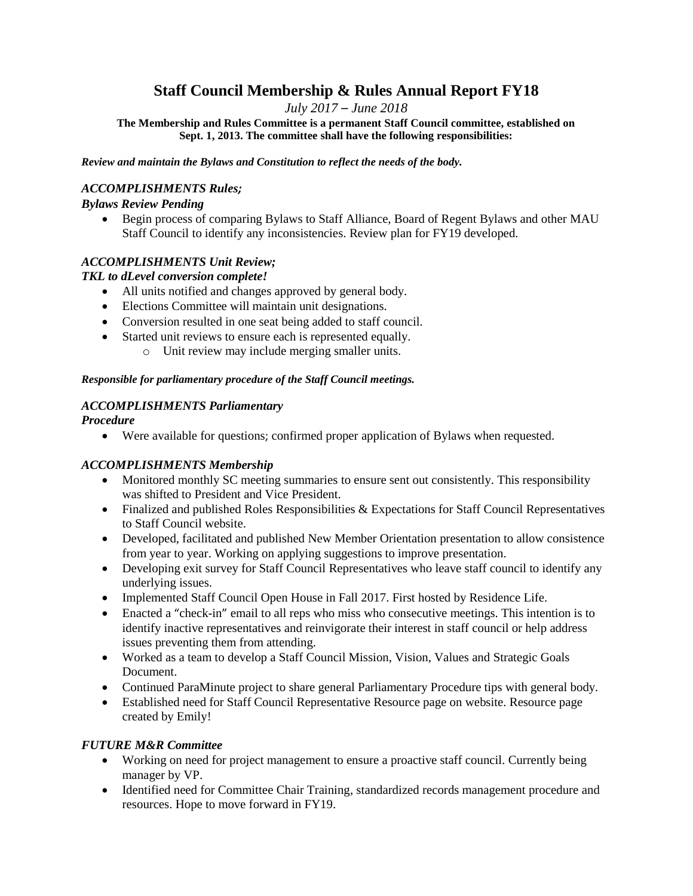# **Staff Council Membership & Rules Annual Report FY18**

*July 2017 – June 2018*

**The Membership and Rules Committee is a permanent Staff Council committee, established on Sept. 1, 2013. The committee shall have the following responsibilities:**

*Review and maintain the Bylaws and Constitution to reflect the needs of the body.*

#### *ACCOMPLISHMENTS Rules;*

#### *Bylaws Review Pending*

 Begin process of comparing Bylaws to Staff Alliance, Board of Regent Bylaws and other MAU Staff Council to identify any inconsistencies. Review plan for FY19 developed.

# *ACCOMPLISHMENTS Unit Review;*

# *TKL to dLevel conversion complete!*

- All units notified and changes approved by general body.
- Elections Committee will maintain unit designations.
- Conversion resulted in one seat being added to staff council.
- Started unit reviews to ensure each is represented equally.
	- o Unit review may include merging smaller units.

#### *Responsible for parliamentary procedure of the Staff Council meetings.*

#### *ACCOMPLISHMENTS Parliamentary*

*Procedure*

Were available for questions; confirmed proper application of Bylaws when requested.

# *ACCOMPLISHMENTS Membership*

- Monitored monthly SC meeting summaries to ensure sent out consistently. This responsibility was shifted to President and Vice President.
- Finalized and published Roles Responsibilities & Expectations for Staff Council Representatives to Staff Council website.
- Developed, facilitated and published New Member Orientation presentation to allow consistence from year to year. Working on applying suggestions to improve presentation.
- Developing exit survey for Staff Council Representatives who leave staff council to identify any underlying issues.
- Implemented Staff Council Open House in Fall 2017. First hosted by Residence Life.
- Enacted a "check-in" email to all reps who miss who consecutive meetings. This intention is to identify inactive representatives and reinvigorate their interest in staff council or help address issues preventing them from attending.
- Worked as a team to develop a Staff Council Mission, Vision, Values and Strategic Goals Document.
- Continued ParaMinute project to share general Parliamentary Procedure tips with general body.
- Established need for Staff Council Representative Resource page on website. Resource page created by Emily!

#### *FUTURE M&R Committee*

- Working on need for project management to ensure a proactive staff council. Currently being manager by VP.
- Identified need for Committee Chair Training, standardized records management procedure and resources. Hope to move forward in FY19.